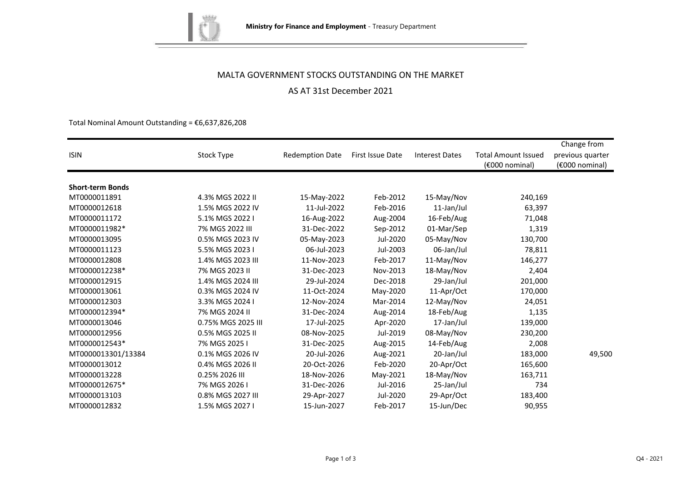

## MALTA GOVERNMENT STOCKS OUTSTANDING ON THE MARKET

# AS AT 31st December 2021

Total Nominal Amount Outstanding =  $\epsilon$ 6,637,826,208

|                         |                    |                        |                  |                       |                            | Change from      |
|-------------------------|--------------------|------------------------|------------------|-----------------------|----------------------------|------------------|
| <b>ISIN</b>             | Stock Type         | <b>Redemption Date</b> | First Issue Date | <b>Interest Dates</b> | <b>Total Amount Issued</b> | previous quarter |
|                         |                    |                        |                  |                       | (€000 nominal)             | (€000 nominal)   |
| <b>Short-term Bonds</b> |                    |                        |                  |                       |                            |                  |
| MT0000011891            | 4.3% MGS 2022 II   | 15-May-2022            | Feb-2012         | 15-May/Nov            | 240,169                    |                  |
| MT0000012618            | 1.5% MGS 2022 IV   | 11-Jul-2022            | Feb-2016         | 11-Jan/Jul            | 63,397                     |                  |
| MT0000011172            | 5.1% MGS 2022 I    | 16-Aug-2022            | Aug-2004         | 16-Feb/Aug            | 71,048                     |                  |
| MT0000011982*           | 7% MGS 2022 III    | 31-Dec-2022            | Sep-2012         | 01-Mar/Sep            | 1,319                      |                  |
| MT0000013095            | 0.5% MGS 2023 IV   | 05-May-2023            | Jul-2020         | 05-May/Nov            | 130,700                    |                  |
| MT0000011123            | 5.5% MGS 2023 I    | 06-Jul-2023            | Jul-2003         | 06-Jan/Jul            | 78,811                     |                  |
| MT0000012808            | 1.4% MGS 2023 III  | 11-Nov-2023            | Feb-2017         | 11-May/Nov            | 146,277                    |                  |
| MT0000012238*           | 7% MGS 2023 II     | 31-Dec-2023            | Nov-2013         | 18-May/Nov            | 2,404                      |                  |
| MT0000012915            | 1.4% MGS 2024 III  | 29-Jul-2024            | Dec-2018         | 29-Jan/Jul            | 201,000                    |                  |
| MT0000013061            | 0.3% MGS 2024 IV   | 11-Oct-2024            | May-2020         | 11-Apr/Oct            | 170,000                    |                  |
| MT0000012303            | 3.3% MGS 2024 I    | 12-Nov-2024            | Mar-2014         | 12-May/Nov            | 24,051                     |                  |
| MT0000012394*           | 7% MGS 2024 II     | 31-Dec-2024            | Aug-2014         | 18-Feb/Aug            | 1,135                      |                  |
| MT0000013046            | 0.75% MGS 2025 III | 17-Jul-2025            | Apr-2020         | 17-Jan/Jul            | 139,000                    |                  |
| MT0000012956            | 0.5% MGS 2025 II   | 08-Nov-2025            | Jul-2019         | 08-May/Nov            | 230,200                    |                  |
| MT0000012543*           | 7% MGS 2025 I      | 31-Dec-2025            | Aug-2015         | 14-Feb/Aug            | 2,008                      |                  |
| MT0000013301/13384      | 0.1% MGS 2026 IV   | 20-Jul-2026            | Aug-2021         | 20-Jan/Jul            | 183,000                    | 49,500           |
| MT0000013012            | 0.4% MGS 2026 II   | 20-Oct-2026            | Feb-2020         | 20-Apr/Oct            | 165,600                    |                  |
| MT0000013228            | 0.25% 2026 III     | 18-Nov-2026            | May-2021         | 18-May/Nov            | 163,711                    |                  |
| MT0000012675*           | 7% MGS 2026 I      | 31-Dec-2026            | Jul-2016         | 25-Jan/Jul            | 734                        |                  |
| MT0000013103            | 0.8% MGS 2027 III  | 29-Apr-2027            | Jul-2020         | 29-Apr/Oct            | 183,400                    |                  |
| MT0000012832            | 1.5% MGS 2027 I    | 15-Jun-2027            | Feb-2017         | 15-Jun/Dec            | 90,955                     |                  |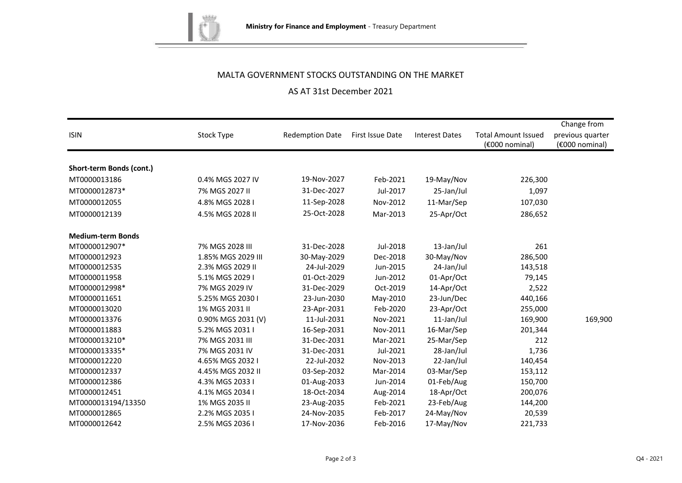

# MALTA GOVERNMENT STOCKS OUTSTANDING ON THE MARKET

# AS AT 31st December 2021

| <b>ISIN</b>              | Stock Type         | <b>Redemption Date</b> | First Issue Date | <b>Interest Dates</b> | <b>Total Amount Issued</b><br>(€000 nominal) | Change from<br>previous quarter<br>(€000 nominal) |
|--------------------------|--------------------|------------------------|------------------|-----------------------|----------------------------------------------|---------------------------------------------------|
|                          |                    |                        |                  |                       |                                              |                                                   |
| Short-term Bonds (cont.) |                    |                        |                  |                       |                                              |                                                   |
| MT0000013186             | 0.4% MGS 2027 IV   | 19-Nov-2027            | Feb-2021         | 19-May/Nov            | 226,300                                      |                                                   |
| MT0000012873*            | 7% MGS 2027 II     | 31-Dec-2027            | Jul-2017         | 25-Jan/Jul            | 1,097                                        |                                                   |
| MT0000012055             | 4.8% MGS 2028 I    | 11-Sep-2028            | Nov-2012         | 11-Mar/Sep            | 107,030                                      |                                                   |
| MT0000012139             | 4.5% MGS 2028 II   | 25-Oct-2028            | Mar-2013         | 25-Apr/Oct            | 286,652                                      |                                                   |
| <b>Medium-term Bonds</b> |                    |                        |                  |                       |                                              |                                                   |
| MT0000012907*            | 7% MGS 2028 III    | 31-Dec-2028            | Jul-2018         | 13-Jan/Jul            | 261                                          |                                                   |
| MT0000012923             | 1.85% MGS 2029 III | 30-May-2029            | Dec-2018         | 30-May/Nov            | 286,500                                      |                                                   |
| MT0000012535             | 2.3% MGS 2029 II   | 24-Jul-2029            | Jun-2015         | 24-Jan/Jul            | 143,518                                      |                                                   |
| MT0000011958             | 5.1% MGS 2029 I    | 01-Oct-2029            | Jun-2012         | 01-Apr/Oct            | 79,145                                       |                                                   |
| MT0000012998*            | 7% MGS 2029 IV     | 31-Dec-2029            | Oct-2019         | 14-Apr/Oct            | 2,522                                        |                                                   |
| MT0000011651             | 5.25% MGS 2030 I   | 23-Jun-2030            | May-2010         | 23-Jun/Dec            | 440,166                                      |                                                   |
| MT0000013020             | 1% MGS 2031 II     | 23-Apr-2031            | Feb-2020         | 23-Apr/Oct            | 255,000                                      |                                                   |
| MT0000013376             | 0.90% MGS 2031 (V) | 11-Jul-2031            | Nov-2021         | 11-Jan/Jul            | 169,900                                      | 169,900                                           |
| MT0000011883             | 5.2% MGS 2031 I    | 16-Sep-2031            | Nov-2011         | 16-Mar/Sep            | 201,344                                      |                                                   |
| MT0000013210*            | 7% MGS 2031 III    | 31-Dec-2031            | Mar-2021         | 25-Mar/Sep            | 212                                          |                                                   |
| MT0000013335*            | 7% MGS 2031 IV     | 31-Dec-2031            | Jul-2021         | 28-Jan/Jul            | 1,736                                        |                                                   |
| MT0000012220             | 4.65% MGS 2032 I   | 22-Jul-2032            | Nov-2013         | 22-Jan/Jul            | 140,454                                      |                                                   |
| MT0000012337             | 4.45% MGS 2032 II  | 03-Sep-2032            | Mar-2014         | 03-Mar/Sep            | 153,112                                      |                                                   |
| MT0000012386             | 4.3% MGS 2033 I    | 01-Aug-2033            | Jun-2014         | 01-Feb/Aug            | 150,700                                      |                                                   |
| MT0000012451             | 4.1% MGS 2034 I    | 18-Oct-2034            | Aug-2014         | 18-Apr/Oct            | 200,076                                      |                                                   |
| MT0000013194/13350       | 1% MGS 2035 II     | 23-Aug-2035            | Feb-2021         | 23-Feb/Aug            | 144,200                                      |                                                   |
| MT0000012865             | 2.2% MGS 2035 I    | 24-Nov-2035            | Feb-2017         | 24-May/Nov            | 20,539                                       |                                                   |
| MT0000012642             | 2.5% MGS 2036 I    | 17-Nov-2036            | Feb-2016         | 17-May/Nov            | 221,733                                      |                                                   |